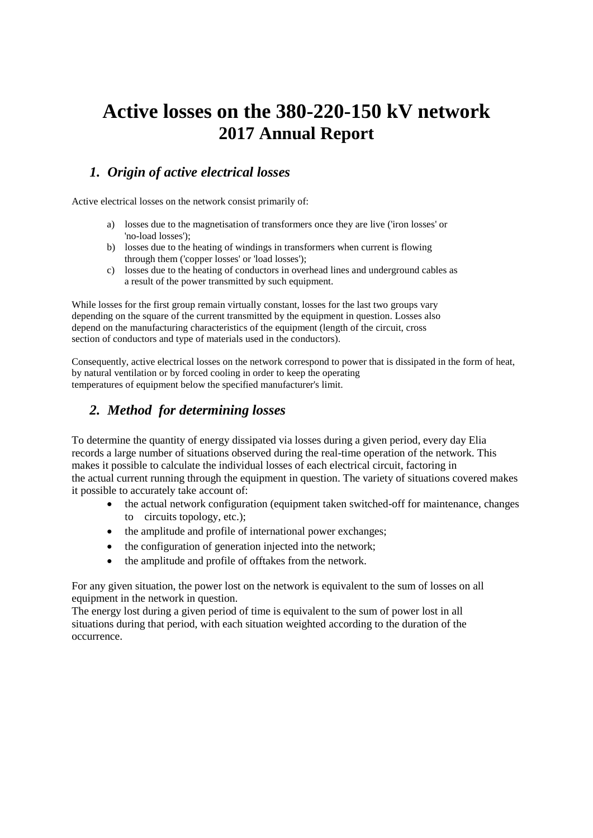# **Active losses on the 380-220-150 kV network 2017 Annual Report**

# *1. Origin of active electrical losses*

Active electrical losses on the network consist primarily of:

- a) losses due to the magnetisation of transformers once they are live ('iron losses' or 'no-load losses');
- b) losses due to the heating of windings in transformers when current is flowing through them ('copper losses' or 'load losses');
- c) losses due to the heating of conductors in overhead lines and underground cables as a result of the power transmitted by such equipment.

While losses for the first group remain virtually constant, losses for the last two groups vary depending on the square of the current transmitted by the equipment in question. Losses also depend on the manufacturing characteristics of the equipment (length of the circuit, cross section of conductors and type of materials used in the conductors).

Consequently, active electrical losses on the network correspond to power that is dissipated in the form of heat, by natural ventilation or by forced cooling in order to keep the operating temperatures of equipment below the specified manufacturer's limit.

## *2. Method for determining losses*

To determine the quantity of energy dissipated via losses during a given period, every day Elia records a large number of situations observed during the real-time operation of the network. This makes it possible to calculate the individual losses of each electrical circuit, factoring in the actual current running through the equipment in question. The variety of situations covered makes it possible to accurately take account of:

- the actual network configuration (equipment taken switched-off for maintenance, changes to circuits topology, etc.);
- the amplitude and profile of international power exchanges;
- the configuration of generation injected into the network;
- the amplitude and profile of offtakes from the network.

For any given situation, the power lost on the network is equivalent to the sum of losses on all equipment in the network in question.

The energy lost during a given period of time is equivalent to the sum of power lost in all situations during that period, with each situation weighted according to the duration of the occurrence.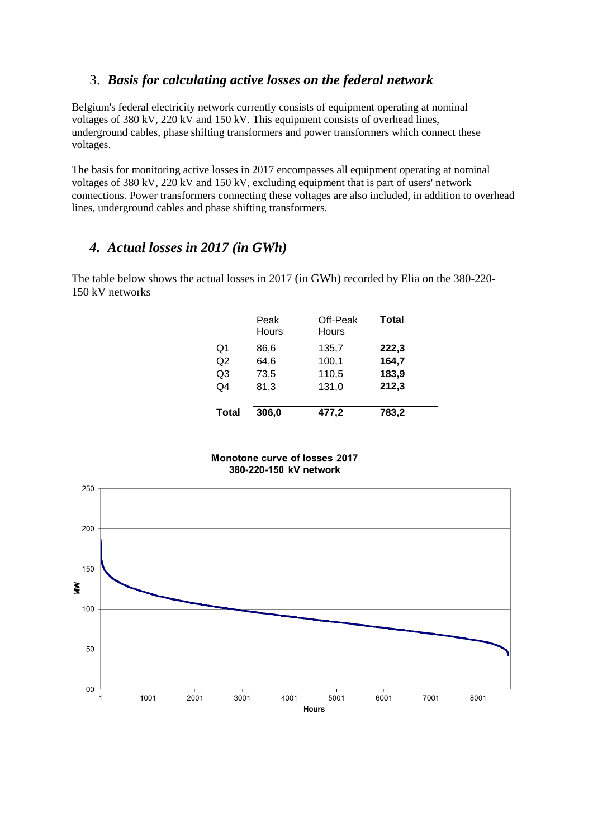### 3. *Basis for calculating active losses on the federal network*

Belgium's federal electricity network currently consists of equipment operating at nominal voltages of 380 kV, 220 kV and 150 kV. This equipment consists of overhead lines, underground cables, phase shifting transformers and power transformers which connect these voltages.

The basis for monitoring active losses in 2017 encompasses all equipment operating at nominal voltages of 380 kV, 220 kV and 150 kV, excluding equipment that is part of users' network connections. Power transformers connecting these voltages are also included, in addition to overhead lines, underground cables and phase shifting transformers.

#### *4. Actual losses in 2017 (in GWh)*

The table below shows the actual losses in 2017 (in GWh) recorded by Elia on the 380-220- 150 kV networks

|                | Peak<br>Hours | Off-Peak<br>Hours | <b>Total</b> |
|----------------|---------------|-------------------|--------------|
| Q1             | 86.6          | 135,7             | 222,3        |
| Q2             | 64,6          | 100,1             | 164,7        |
| Q <sub>3</sub> | 73,5          | 110,5             | 183,9        |
| Q4             | 81,3          | 131,0             | 212,3        |
| <b>Total</b>   | 306,0         | 477,2             | 783,2        |

#### Monotone curve of losses 2017 380-220-150 kV network

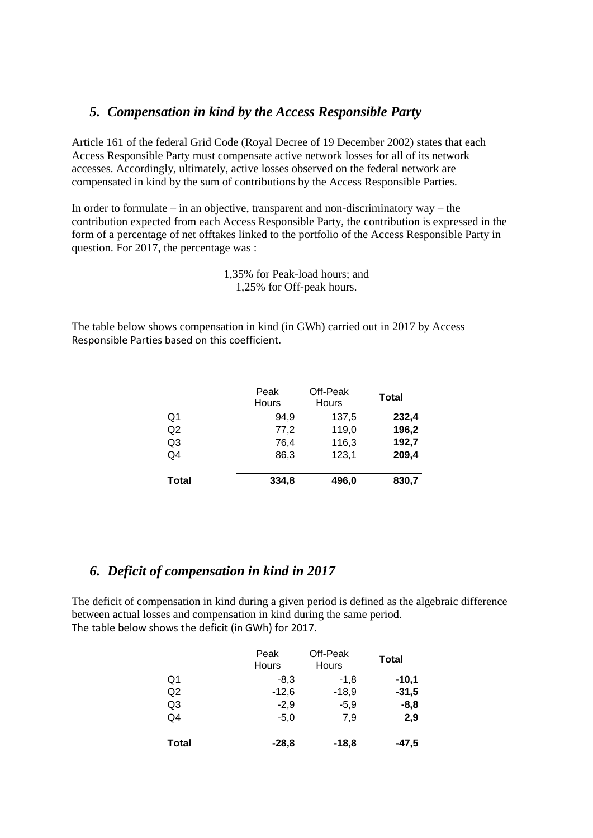#### *5. Compensation in kind by the Access Responsible Party*

Article 161 of the federal Grid Code (Royal Decree of 19 December 2002) states that each Access Responsible Party must compensate active network losses for all of its network accesses. Accordingly, ultimately, active losses observed on the federal network are compensated in kind by the sum of contributions by the Access Responsible Parties.

In order to formulate – in an objective, transparent and non-discriminatory way – the contribution expected from each Access Responsible Party, the contribution is expressed in the form of a percentage of net offtakes linked to the portfolio of the Access Responsible Party in question. For 2017, the percentage was :

> 1,35% for Peak-load hours; and 1,25% for Off-peak hours.

The table below shows compensation in kind (in GWh) carried out in 2017 by Access Responsible Parties based on this coefficient.

|                | Peak<br>Hours | Off-Peak<br>Hours | <b>Total</b> |
|----------------|---------------|-------------------|--------------|
| Q1             | 94,9          | 137,5             | 232,4        |
| Q <sub>2</sub> | 77,2          | 119,0             | 196,2        |
| Q3             | 76,4          | 116,3             | 192,7        |
| Q4             | 86,3          | 123,1             | 209,4        |
| <b>Total</b>   | 334,8         | 496,0             | 830,7        |

#### *6. Deficit of compensation in kind in 2017*

The deficit of compensation in kind during a given period is defined as the algebraic difference between actual losses and compensation in kind during the same period. The table below shows the deficit (in GWh) for 2017.

|                | Peak<br>Hours | Off-Peak<br>Hours | <b>Total</b> |
|----------------|---------------|-------------------|--------------|
| Q1             | $-8,3$        | $-1,8$            | $-10,1$      |
| Q2             | $-12,6$       | $-18,9$           | $-31,5$      |
| Q <sub>3</sub> | $-2,9$        | $-5,9$            | $-8,8$       |
| Q4             | $-5.0$        | 7,9               | 2,9          |
| <b>Total</b>   | $-28,8$       | $-18,8$           | $-47,5$      |